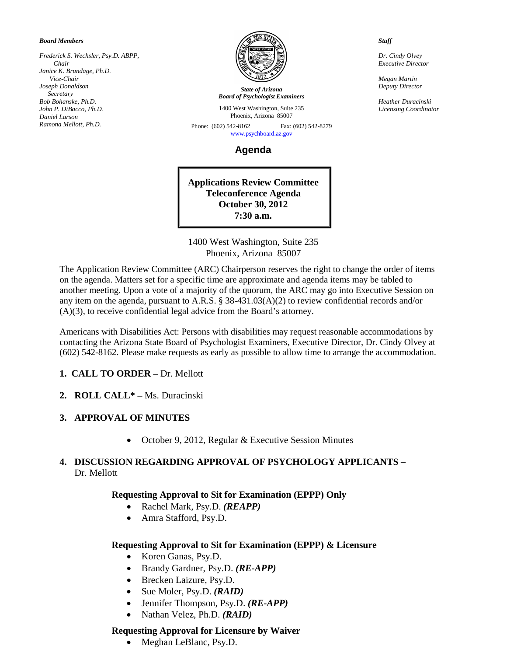#### *Board Members*

*Frederick S. Wechsler, Psy.D. ABPP, Chair Janice K. Brundage, Ph.D. Vice-Chair Joseph Donaldson Secretary Bob Bohanske, Ph.D. John P. DiBacco, Ph.D. Daniel Larson Ramona Mellott, Ph.D.*



*State of Arizona Board of Psychologist Examiners*

1400 West Washington, Suite 235 Phoenix, Arizona 85007

Phone: (602) 542-8162 Fax: (602) 542-8279 [www.psychboard.az.gov](http://www.psychboard.az.gov/) 

**Agenda**

**Applications Review Committee Teleconference Agenda October 30, 2012 7:30 a.m.**

1400 West Washington, Suite 235 Phoenix, Arizona 85007

The Application Review Committee (ARC) Chairperson reserves the right to change the order of items on the agenda. Matters set for a specific time are approximate and agenda items may be tabled to another meeting. Upon a vote of a majority of the quorum, the ARC may go into Executive Session on any item on the agenda, pursuant to A.R.S. § 38-431.03(A)(2) to review confidential records and/or (A)(3), to receive confidential legal advice from the Board's attorney.

Americans with Disabilities Act: Persons with disabilities may request reasonable accommodations by contacting the Arizona State Board of Psychologist Examiners, Executive Director, Dr. Cindy Olvey at (602) 542-8162. Please make requests as early as possible to allow time to arrange the accommodation.

### **1. CALL TO ORDER –** Dr. Mellott

**2. ROLL CALL\* –** Ms. Duracinski

### **3. APPROVAL OF MINUTES**

• October 9, 2012, Regular & Executive Session Minutes

## **4. DISCUSSION REGARDING APPROVAL OF PSYCHOLOGY APPLICANTS –** Dr. Mellott

### **Requesting Approval to Sit for Examination (EPPP) Only**

- Rachel Mark, Psy.D. *(REAPP)*
- Amra Stafford, Psy.D.

### **Requesting Approval to Sit for Examination (EPPP) & Licensure**

- Koren Ganas, Psy.D.
- Brandy Gardner, Psy.D. *(RE-APP)*
- Brecken Laizure, Psy.D.
- Sue Moler, Psy.D. *(RAID)*
- Jennifer Thompson, Psy.D. *(RE-APP)*
- Nathan Velez, Ph.D. *(RAID)*

### **Requesting Approval for Licensure by Waiver**

• Meghan LeBlanc, Psy.D.

*Staff*

*Dr. Cindy Olvey Executive Director*

*Megan Martin Deputy Director*

*Heather Duracinski Licensing Coordinator*